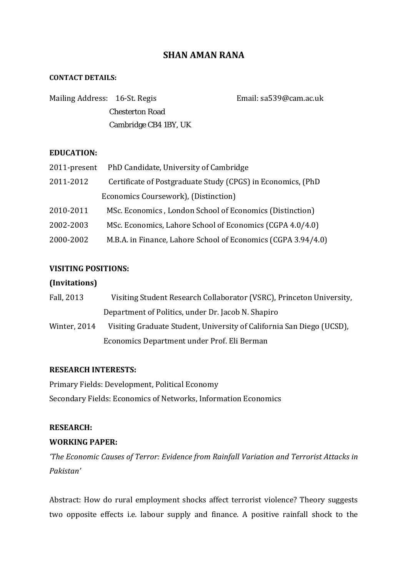# **SHAN AMAN RANA**

#### **CONTACT DETAILS:**

| Mailing Address: 16-St. Regis |                        | Email: sa539@cam.ac.uk |
|-------------------------------|------------------------|------------------------|
|                               | <b>Chesterton Road</b> |                        |
|                               | Cambridge CB4 1BY, UK  |                        |

### **EDUCATION:**

| 2011-present | PhD Candidate, University of Cambridge                        |
|--------------|---------------------------------------------------------------|
| 2011-2012    | Certificate of Postgraduate Study (CPGS) in Economics, (PhD   |
|              | Economics Coursework), (Distinction)                          |
| 2010-2011    | MSc. Economics, London School of Economics (Distinction)      |
| 2002-2003    | MSc. Economics, Lahore School of Economics (CGPA 4.0/4.0)     |
| 2000-2002    | M.B.A. in Finance, Lahore School of Economics (CGPA 3.94/4.0) |

# **VISITING POSITIONS:**

### **(Invitations)**

| Fall, 2013   | Visiting Student Research Collaborator (VSRC), Princeton University,  |
|--------------|-----------------------------------------------------------------------|
|              | Department of Politics, under Dr. Jacob N. Shapiro                    |
| Winter, 2014 | Visiting Graduate Student, University of California San Diego (UCSD), |
|              | Economics Department under Prof. Eli Berman                           |

### **RESEARCH INTERESTS:**

Primary Fields: Development, Political Economy Secondary Fields: Economics of Networks, Information Economics

### **RESEARCH:**

# **WORKING PAPER:**

*'The Economic Causes of Terror: Evidence from Rainfall Variation and Terrorist Attacks in Pakistan'* 

Abstract: How do rural employment shocks affect terrorist violence? Theory suggests two opposite effects i.e. labour supply and finance. A positive rainfall shock to the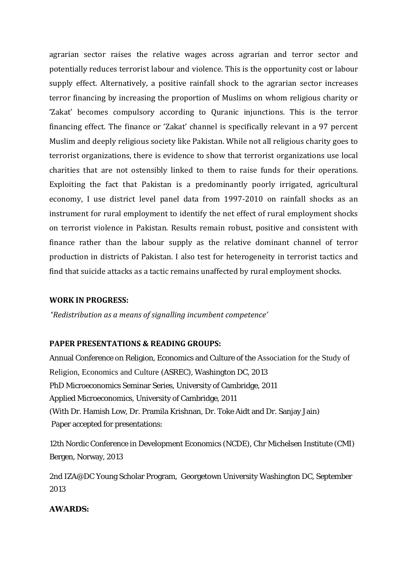agrarian sector raises the relative wages across agrarian and terror sector and potentially reduces terrorist labour and violence. This is the opportunity cost or labour supply effect. Alternatively, a positive rainfall shock to the agrarian sector increases terror financing by increasing the proportion of Muslims on whom religious charity or 'Zakat' becomes compulsory according to Ouranic injunctions. This is the terror financing effect. The finance or 'Zakat' channel is specifically relevant in a 97 percent Muslim and deeply religious society like Pakistan. While not all religious charity goes to terrorist organizations, there is evidence to show that terrorist organizations use local charities that are not ostensibly linked to them to raise funds for their operations. Exploiting the fact that Pakistan is a predominantly poorly irrigated, agricultural economy, I use district level panel data from 1997-2010 on rainfall shocks as an instrument for rural employment to identify the net effect of rural employment shocks on terrorist violence in Pakistan. Results remain robust, positive and consistent with finance rather than the labour supply as the relative dominant channel of terror production in districts of Pakistan. I also test for heterogeneity in terrorist tactics and find that suicide attacks as a tactic remains unaffected by rural employment shocks.

### **WORK IN PROGRESS:**

**'***Redistribution as a means of signalling incumbent competence'*

### **PAPER PRESENTATIONS & READING GROUPS:**

Annual Conference on Religion, Economics and Culture of the Association for the Study of Religion, Economics and Culture (ASREC), Washington DC, 2013 PhD Microeconomics Seminar Series, University of Cambridge, 2011 Applied Microeconomics, University of Cambridge, 2011 (With Dr. Hamish Low, Dr. Pramila Krishnan, Dr. Toke Aidt and Dr. Sanjay Jain) Paper accepted for presentations:

12th Nordic Conference in Development Economics (NCDE), Chr Michelsen Institute (CMI) Bergen, Norway, 2013

2nd IZA@DC Young Scholar Program, Georgetown University Washington DC, September 2013

#### **AWARDS:**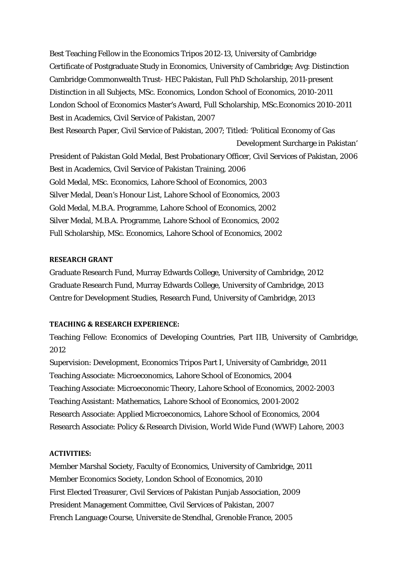Best Teaching Fellow in the Economics Tripos 2012-13, University of Cambridge Certificate of Postgraduate Study in Economics, University of Cambridge; Avg: Distinction Cambridge Commonwealth Trust- HEC Pakistan, Full PhD Scholarship, 2011-present Distinction in all Subjects, MSc. Economics, London School of Economics, 2010-2011 London School of Economics Master's Award, Full Scholarship, MSc.Economics 2010-2011 Best in Academics, Civil Service of Pakistan, 2007 Best Research Paper, Civil Service of Pakistan, 2007; Titled: 'Political Economy of Gas Development Surcharge in Pakistan' President of Pakistan Gold Medal, Best Probationary Officer, Civil Services of Pakistan, 2006 Best in Academics, Civil Service of Pakistan Training, 2006 Gold Medal, MSc. Economics, Lahore School of Economics, 2003 Silver Medal, Dean's Honour List, Lahore School of Economics, 2003 Gold Medal, M.B.A. Programme, Lahore School of Economics, 2002 Silver Medal, M.B.A. Programme, Lahore School of Economics, 2002 Full Scholarship, MSc. Economics, Lahore School of Economics, 2002

#### **RESEARCH GRANT**

Graduate Research Fund, Murray Edwards College, University of Cambridge, 2012 Graduate Research Fund, Murray Edwards College, University of Cambridge, 2013 Centre for Development Studies, Research Fund, University of Cambridge, 2013

#### **TEACHING & RESEARCH EXPERIENCE:**

Teaching Fellow: Economics of Developing Countries, Part IIB, University of Cambridge, 2012

Supervision: Development, Economics Tripos Part I, University of Cambridge, 2011 Teaching Associate: Microeconomics, Lahore School of Economics, 2004 Teaching Associate: Microeconomic Theory, Lahore School of Economics, 2002-2003 Teaching Assistant: Mathematics, Lahore School of Economics, 2001-2002 Research Associate: Applied Microeconomics, Lahore School of Economics, 2004 Research Associate: Policy & Research Division, World Wide Fund (WWF) Lahore, 2003

#### **ACTIVITIES:**

Member Marshal Society, Faculty of Economics, University of Cambridge, 2011 Member Economics Society, London School of Economics, 2010 First Elected Treasurer, Civil Services of Pakistan Punjab Association, 2009 President Management Committee, Civil Services of Pakistan, 2007 French Language Course, Universite de Stendhal, Grenoble France, 2005